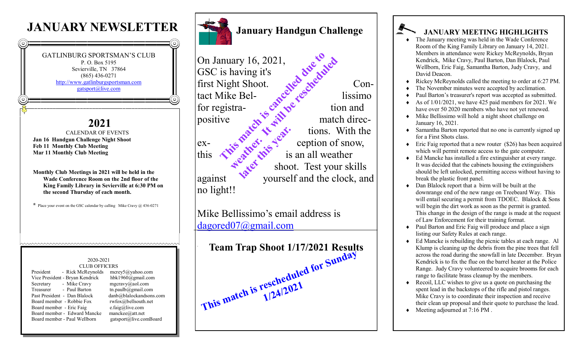## **JANUARY NEWSLETTER**





positive  $\mathbb{R}^n$  match directions. With the  $ex \mathcal{E}^{\bullet}$   $\mathcal{E}^{\bullet}$  ception of snow, shoot. Test your skills<br>and the clock, an against yourself and the clock, and no light!! **later this year.**<br>Latter this year.

Mike Bellissimo's email address is [dagored07@gmail.com](mailto:dagored07@gmail.com)

| <b>Team Trap Shoot 1/17/2021 Results</b> |  |
|------------------------------------------|--|
| This match is rescheduled for Sunday     |  |
|                                          |  |
|                                          |  |

## **JANUARY MEETING HIGHLIGHTS**

- The January meeting was held in the Wade Conference Room of the King Family Library on January 14, 2021. Members in attendance were Rickey McReynolds, Bryan Kendrick, Mike Cravy, Paul Barton, Dan Blalock, Paul Wellborn, Eric Faig, Samantha Barton, Judy Cravy, and David Deacon.
- Rickey McReynolds called the meeting to order at 6:27 PM.
- The November minutes were accepted by acclimation.
- Paul Barton's treasurer's report was accepted as submitted.
- As of 1/01/2021, we have 425 paid members for 2021. We have over 50 2020 members who have not yet renewed.
- $\bullet$  Mike Bellissimo will hold a night shoot challenge on January 16, 2021.
- Samantha Barton reported that no one is currently signed up for a First Shots class.
- $\bullet$  Eric Faig reported that a new router (\$26) has been acquired which will permit remote access to the gate computer.
- Ed Mancke has installed a fire extinguisher at every range. It was decided that the cabinets housing the extinguishers should be left unlocked, permitting access without having to break the plastic front panel.
- Dan Blalock report that a birm will be built at the downrange end of the new range on Treebeard Way. This will entail securing a permit from TDOEC. Blalock & Sons will begin the dirt work as soon as the permit is granted. This change in the design of the range is made at the request of Law Enforcement for their training format.
- Paul Barton and Eric Faig will produce and place a sign listing our Safety Rules at each range.
- Ed Mancke is rebuilding the picnic tables at each range. Al Klump is cleaning up the debris from the pine trees that fell across the road during the snowfall in late December. Bryan Kendrick is to fix the flue on the barrel heater at the Police Range. Judy Cravy volunteered to acquire brooms for each range to facilitate brass cleanup by the members.
- Recoil, LLC wishes to give us a quote on purchasing the spent lead in the backstops of the rifle and pistol ranges. Mike Cravy is to coordinate their inspection and receive their clean up proposal and their quote to purchase the lead.
- ◆ Meeting adjourned at 7:16 PM.